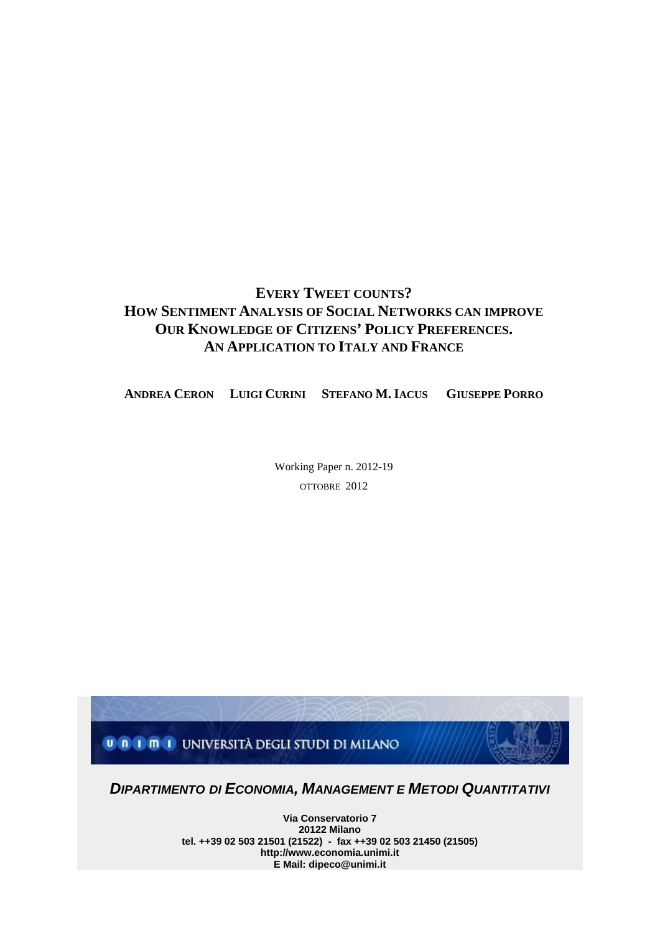## **EVERY TWEET COUNTS? HOW SENTIMENT ANALYSIS OF SOCIAL NETWORKS CAN IMPROVE OUR KNOWLEDGE OF CITIZENS' POLICY PREFERENCES. AN APPLICATION TO ITALY AND FRANCE**

**ANDREA CERON LUIGI CURINI STEFANO M. IACUS GIUSEPPE PORRO**

Working Paper n. 2012-19 OTTOBRE 2012



**Via Conservatorio 7 20122 Milano tel. ++39 02 503 21501 (21522) - fax ++39 02 503 21450 (21505) http://www.economia.unimi.it E Mail: dipeco@unimi.it**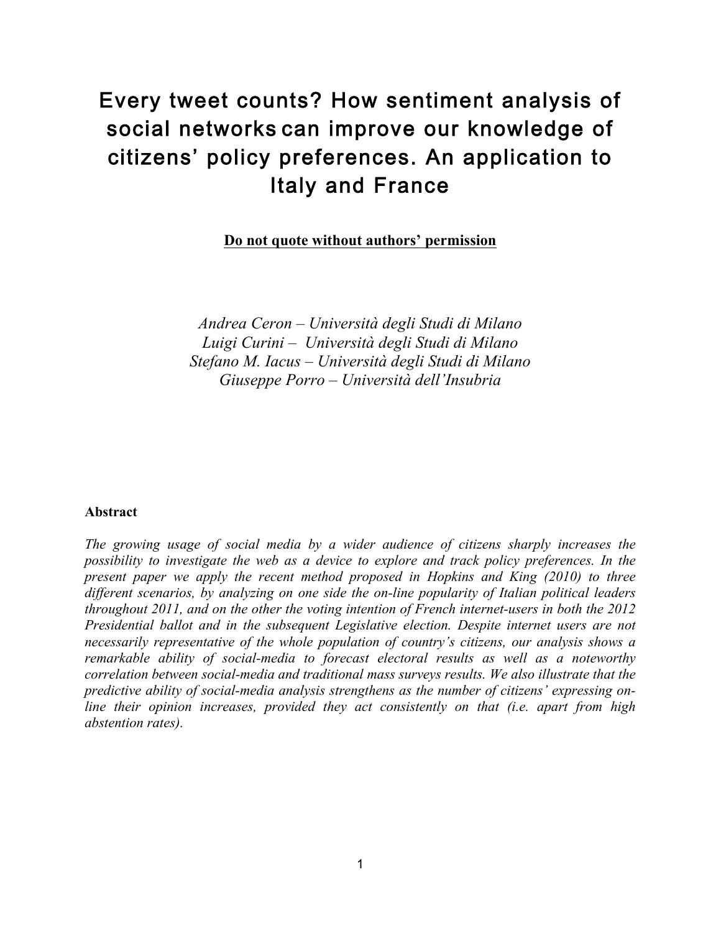# Every tweet counts? How sentiment analysis of social networks can improve our knowledge of citizens' policy preferences. An application to Italy and France

**Do not quote without authors' permission**

*Andrea Ceron – Università degli Studi di Milano Luigi Curini – Università degli Studi di Milano Stefano M. Iacus – Università degli Studi di Milano Giuseppe Porro – Università dell'Insubria*

## **Abstract**

*The growing usage of social media by a wider audience of citizens sharply increases the possibility to investigate the web as a device to explore and track policy preferences. In the present paper we apply the recent method proposed in Hopkins and King (2010) to three different scenarios, by analyzing on one side the on-line popularity of Italian political leaders throughout 2011, and on the other the voting intention of French internet-users in both the 2012 Presidential ballot and in the subsequent Legislative election. Despite internet users are not necessarily representative of the whole population of country's citizens, our analysis shows a remarkable ability of social-media to forecast electoral results as well as a noteworthy correlation between social-media and traditional mass surveys results. We also illustrate that the predictive ability of social-media analysis strengthens as the number of citizens' expressing online their opinion increases, provided they act consistently on that (i.e. apart from high abstention rates).*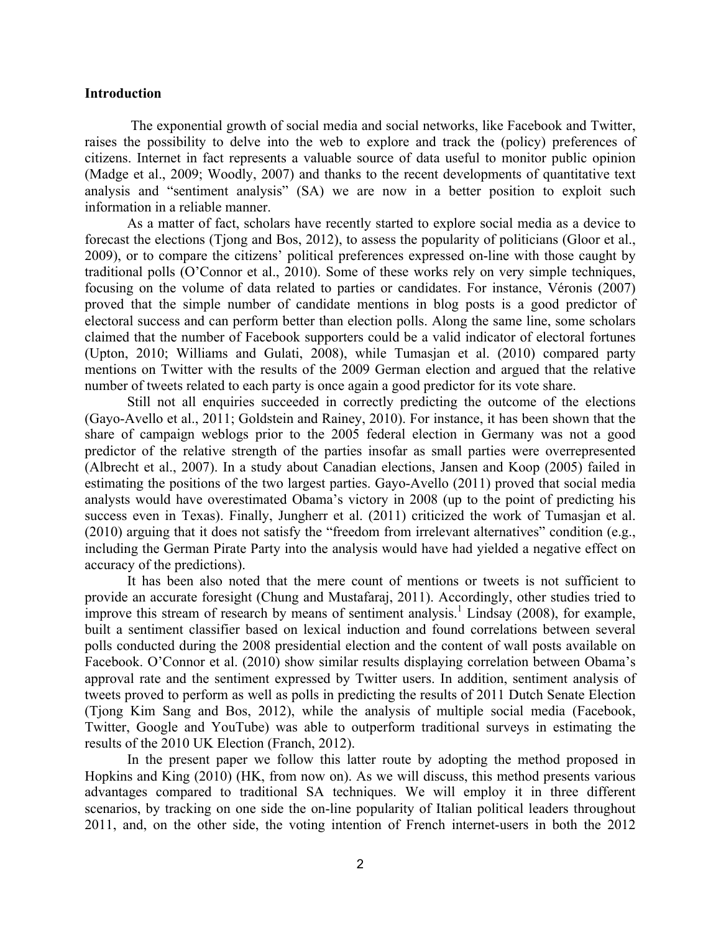## **Introduction**

The exponential growth of social media and social networks, like Facebook and Twitter, raises the possibility to delve into the web to explore and track the (policy) preferences of citizens. Internet in fact represents a valuable source of data useful to monitor public opinion (Madge et al., 2009; Woodly, 2007) and thanks to the recent developments of quantitative text analysis and "sentiment analysis" (SA) we are now in a better position to exploit such information in a reliable manner.

As a matter of fact, scholars have recently started to explore social media as a device to forecast the elections (Tjong and Bos, 2012), to assess the popularity of politicians (Gloor et al., 2009), or to compare the citizens' political preferences expressed on-line with those caught by traditional polls (O'Connor et al., 2010). Some of these works rely on very simple techniques, focusing on the volume of data related to parties or candidates. For instance, Véronis (2007) proved that the simple number of candidate mentions in blog posts is a good predictor of electoral success and can perform better than election polls. Along the same line, some scholars claimed that the number of Facebook supporters could be a valid indicator of electoral fortunes (Upton, 2010; Williams and Gulati, 2008), while Tumasjan et al. (2010) compared party mentions on Twitter with the results of the 2009 German election and argued that the relative number of tweets related to each party is once again a good predictor for its vote share.

Still not all enquiries succeeded in correctly predicting the outcome of the elections (Gayo-Avello et al., 2011; Goldstein and Rainey, 2010). For instance, it has been shown that the share of campaign weblogs prior to the 2005 federal election in Germany was not a good predictor of the relative strength of the parties insofar as small parties were overrepresented (Albrecht et al., 2007). In a study about Canadian elections, Jansen and Koop (2005) failed in estimating the positions of the two largest parties. Gayo-Avello (2011) proved that social media analysts would have overestimated Obama's victory in 2008 (up to the point of predicting his success even in Texas). Finally, Jungherr et al. (2011) criticized the work of Tumasjan et al. (2010) arguing that it does not satisfy the "freedom from irrelevant alternatives" condition (e.g., including the German Pirate Party into the analysis would have had yielded a negative effect on accuracy of the predictions).

It has been also noted that the mere count of mentions or tweets is not sufficient to provide an accurate foresight (Chung and Mustafaraj, 2011). Accordingly, other studies tried to improve this stream of research by means of sentiment analysis.<sup>1</sup> Lindsay (2008), for example, built a sentiment classifier based on lexical induction and found correlations between several polls conducted during the 2008 presidential election and the content of wall posts available on Facebook. O'Connor et al. (2010) show similar results displaying correlation between Obama's approval rate and the sentiment expressed by Twitter users. In addition, sentiment analysis of tweets proved to perform as well as polls in predicting the results of 2011 Dutch Senate Election (Tjong Kim Sang and Bos, 2012), while the analysis of multiple social media (Facebook, Twitter, Google and YouTube) was able to outperform traditional surveys in estimating the results of the 2010 UK Election (Franch, 2012).

In the present paper we follow this latter route by adopting the method proposed in Hopkins and King (2010) (HK, from now on). As we will discuss, this method presents various advantages compared to traditional SA techniques. We will employ it in three different scenarios, by tracking on one side the on-line popularity of Italian political leaders throughout 2011, and, on the other side, the voting intention of French internet-users in both the 2012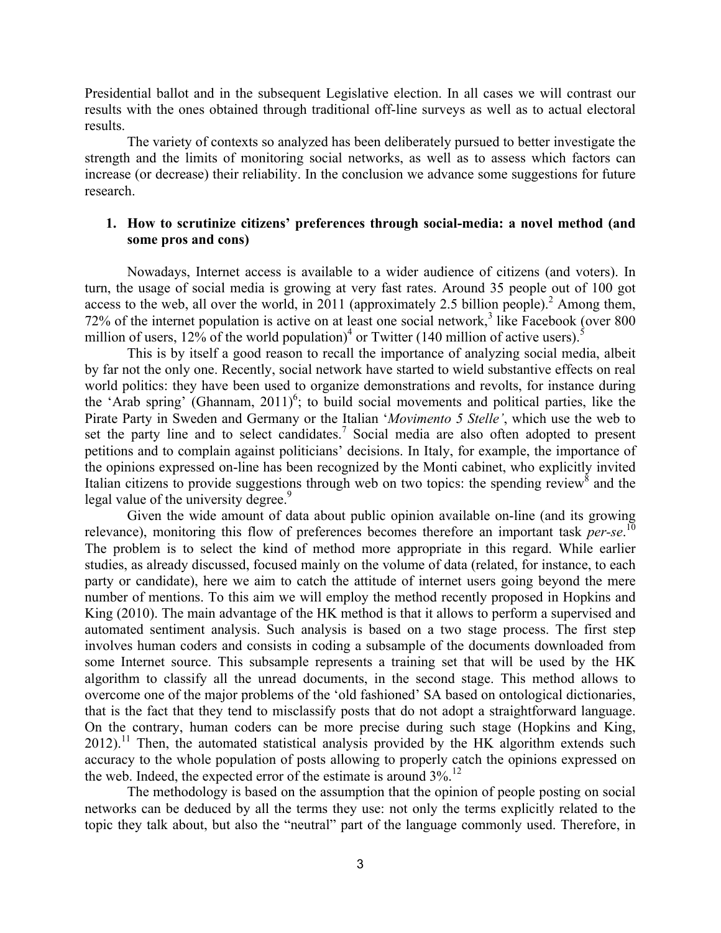Presidential ballot and in the subsequent Legislative election. In all cases we will contrast our results with the ones obtained through traditional off-line surveys as well as to actual electoral results.

The variety of contexts so analyzed has been deliberately pursued to better investigate the strength and the limits of monitoring social networks, as well as to assess which factors can increase (or decrease) their reliability. In the conclusion we advance some suggestions for future research.

## **1. How to scrutinize citizens' preferences through social-media: a novel method (and some pros and cons)**

Nowadays, Internet access is available to a wider audience of citizens (and voters). In turn, the usage of social media is growing at very fast rates. Around 35 people out of 100 got access to the web, all over the world, in  $2011$  (approximately 2.5 billion people).<sup>2</sup> Among them, 72% of the internet population is active on at least one social network, <sup>3</sup> like Facebook (over 800 million of users, 12% of the world population)<sup>4</sup> or Twitter (140 million of active users).<sup>5</sup>

This is by itself a good reason to recall the importance of analyzing social media, albeit by far not the only one. Recently, social network have started to wield substantive effects on real world politics: they have been used to organize demonstrations and revolts, for instance during the 'Arab spring' (Ghannam, 2011)<sup>6</sup>; to build social movements and political parties, like the Pirate Party in Sweden and Germany or the Italian '*Movimento 5 Stelle'*, which use the web to set the party line and to select candidates.<sup>7</sup> Social media are also often adopted to present petitions and to complain against politicians' decisions. In Italy, for example, the importance of the opinions expressed on-line has been recognized by the Monti cabinet, who explicitly invited Italian citizens to provide suggestions through web on two topics: the spending review  $\delta$  and the legal value of the university degree.<sup>9</sup>

Given the wide amount of data about public opinion available on-line (and its growing relevance), monitoring this flow of preferences becomes therefore an important task *per-se*. 10 The problem is to select the kind of method more appropriate in this regard. While earlier studies, as already discussed, focused mainly on the volume of data (related, for instance, to each party or candidate), here we aim to catch the attitude of internet users going beyond the mere number of mentions. To this aim we will employ the method recently proposed in Hopkins and King (2010). The main advantage of the HK method is that it allows to perform a supervised and automated sentiment analysis. Such analysis is based on a two stage process. The first step involves human coders and consists in coding a subsample of the documents downloaded from some Internet source. This subsample represents a training set that will be used by the HK algorithm to classify all the unread documents, in the second stage. This method allows to overcome one of the major problems of the 'old fashioned' SA based on ontological dictionaries, that is the fact that they tend to misclassify posts that do not adopt a straightforward language. On the contrary, human coders can be more precise during such stage (Hopkins and King,  $2012$ <sup>11</sup>. Then, the automated statistical analysis provided by the HK algorithm extends such accuracy to the whole population of posts allowing to properly catch the opinions expressed on the web. Indeed, the expected error of the estimate is around 3%.<sup>12</sup>

The methodology is based on the assumption that the opinion of people posting on social networks can be deduced by all the terms they use: not only the terms explicitly related to the topic they talk about, but also the "neutral" part of the language commonly used. Therefore, in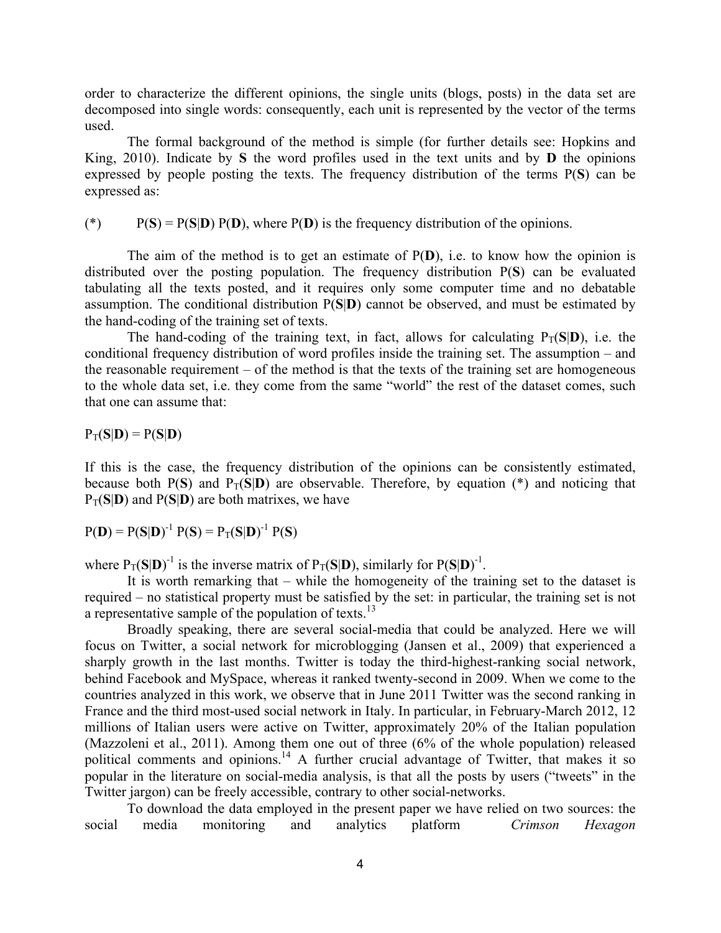order to characterize the different opinions, the single units (blogs, posts) in the data set are decomposed into single words: consequently, each unit is represented by the vector of the terms used.

The formal background of the method is simple (for further details see: Hopkins and King, 2010). Indicate by **S** the word profiles used in the text units and by **D** the opinions expressed by people posting the texts. The frequency distribution of the terms P(**S**) can be expressed as:

(\*)  $P(S) = P(S|D) P(D)$ , where  $P(D)$  is the frequency distribution of the opinions.

The aim of the method is to get an estimate of  $P(D)$ , i.e. to know how the opinion is distributed over the posting population. The frequency distribution P(**S**) can be evaluated tabulating all the texts posted, and it requires only some computer time and no debatable assumption. The conditional distribution P(**S**|**D**) cannot be observed, and must be estimated by the hand-coding of the training set of texts.

The hand-coding of the training text, in fact, allows for calculating  $P_T(S|D)$ , i.e. the conditional frequency distribution of word profiles inside the training set. The assumption – and the reasonable requirement – of the method is that the texts of the training set are homogeneous to the whole data set, i.e. they come from the same "world" the rest of the dataset comes, such that one can assume that:

 $P_T(S|D) = P(S|D)$ 

If this is the case, the frequency distribution of the opinions can be consistently estimated, because both  $P(S)$  and  $P_T(S|D)$  are observable. Therefore, by equation  $(*)$  and noticing that  $P_T(S|D)$  and  $P(S|D)$  are both matrixes, we have

$$
P(D) = P(S|D)^{-1} P(S) = P_T(S|D)^{-1} P(S)
$$

where  $P_T(S|D)^{-1}$  is the inverse matrix of  $P_T(S|D)$ , similarly for  $P(S|D)^{-1}$ .

It is worth remarking that – while the homogeneity of the training set to the dataset is required – no statistical property must be satisfied by the set: in particular, the training set is not a representative sample of the population of texts.<sup>13</sup>

Broadly speaking, there are several social-media that could be analyzed. Here we will focus on Twitter, a social network for microblogging (Jansen et al., 2009) that experienced a sharply growth in the last months. Twitter is today the third-highest-ranking social network, behind Facebook and MySpace, whereas it ranked twenty-second in 2009. When we come to the countries analyzed in this work, we observe that in June 2011 Twitter was the second ranking in France and the third most-used social network in Italy. In particular, in February-March 2012, 12 millions of Italian users were active on Twitter, approximately 20% of the Italian population (Mazzoleni et al., 2011). Among them one out of three (6% of the whole population) released political comments and opinions.<sup>14</sup> A further crucial advantage of Twitter, that makes it so popular in the literature on social-media analysis, is that all the posts by users ("tweets" in the Twitter jargon) can be freely accessible, contrary to other social-networks.

To download the data employed in the present paper we have relied on two sources: the social media monitoring and analytics platform *Crimson Hexagon*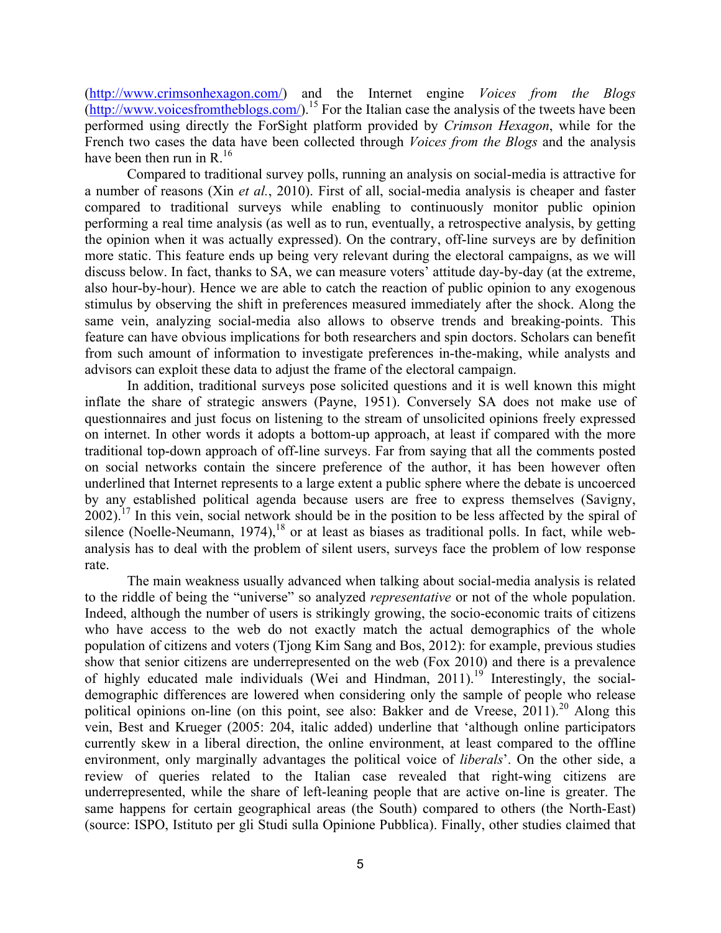(http://www.crimsonhexagon.com/) and the Internet engine *Voices from the Blogs* (http://www.voicesfromtheblogs.com/).<sup>15</sup> For the Italian case the analysis of the tweets have been performed using directly the ForSight platform provided by *Crimson Hexagon*, while for the French two cases the data have been collected through *Voices from the Blogs* and the analysis have been then run in  $R<sup>16</sup>$ 

Compared to traditional survey polls, running an analysis on social-media is attractive for a number of reasons (Xin *et al.*, 2010). First of all, social-media analysis is cheaper and faster compared to traditional surveys while enabling to continuously monitor public opinion performing a real time analysis (as well as to run, eventually, a retrospective analysis, by getting the opinion when it was actually expressed). On the contrary, off-line surveys are by definition more static. This feature ends up being very relevant during the electoral campaigns, as we will discuss below. In fact, thanks to SA, we can measure voters' attitude day-by-day (at the extreme, also hour-by-hour). Hence we are able to catch the reaction of public opinion to any exogenous stimulus by observing the shift in preferences measured immediately after the shock. Along the same vein, analyzing social-media also allows to observe trends and breaking-points. This feature can have obvious implications for both researchers and spin doctors. Scholars can benefit from such amount of information to investigate preferences in-the-making, while analysts and advisors can exploit these data to adjust the frame of the electoral campaign.

In addition, traditional surveys pose solicited questions and it is well known this might inflate the share of strategic answers (Payne, 1951). Conversely SA does not make use of questionnaires and just focus on listening to the stream of unsolicited opinions freely expressed on internet. In other words it adopts a bottom-up approach, at least if compared with the more traditional top-down approach of off-line surveys. Far from saying that all the comments posted on social networks contain the sincere preference of the author, it has been however often underlined that Internet represents to a large extent a public sphere where the debate is uncoerced by any established political agenda because users are free to express themselves (Savigny,  $2002$ ).<sup>17</sup> In this vein, social network should be in the position to be less affected by the spiral of silence (Noelle-Neumann,  $1974$ ),  $18$  or at least as biases as traditional polls. In fact, while webanalysis has to deal with the problem of silent users, surveys face the problem of low response rate.

The main weakness usually advanced when talking about social-media analysis is related to the riddle of being the "universe" so analyzed *representative* or not of the whole population. Indeed, although the number of users is strikingly growing, the socio-economic traits of citizens who have access to the web do not exactly match the actual demographics of the whole population of citizens and voters (Tjong Kim Sang and Bos, 2012): for example, previous studies show that senior citizens are underrepresented on the web (Fox 2010) and there is a prevalence of highly educated male individuals (Wei and Hindman,  $2011$ ).<sup>19</sup> Interestingly, the socialdemographic differences are lowered when considering only the sample of people who release political opinions on-line (on this point, see also: Bakker and de Vreese,  $2011$ ).<sup>20</sup> Along this vein, Best and Krueger (2005: 204, italic added) underline that 'although online participators currently skew in a liberal direction, the online environment, at least compared to the offline environment, only marginally advantages the political voice of *liberals*'. On the other side, a review of queries related to the Italian case revealed that right-wing citizens are underrepresented, while the share of left-leaning people that are active on-line is greater. The same happens for certain geographical areas (the South) compared to others (the North-East) (source: ISPO, Istituto per gli Studi sulla Opinione Pubblica). Finally, other studies claimed that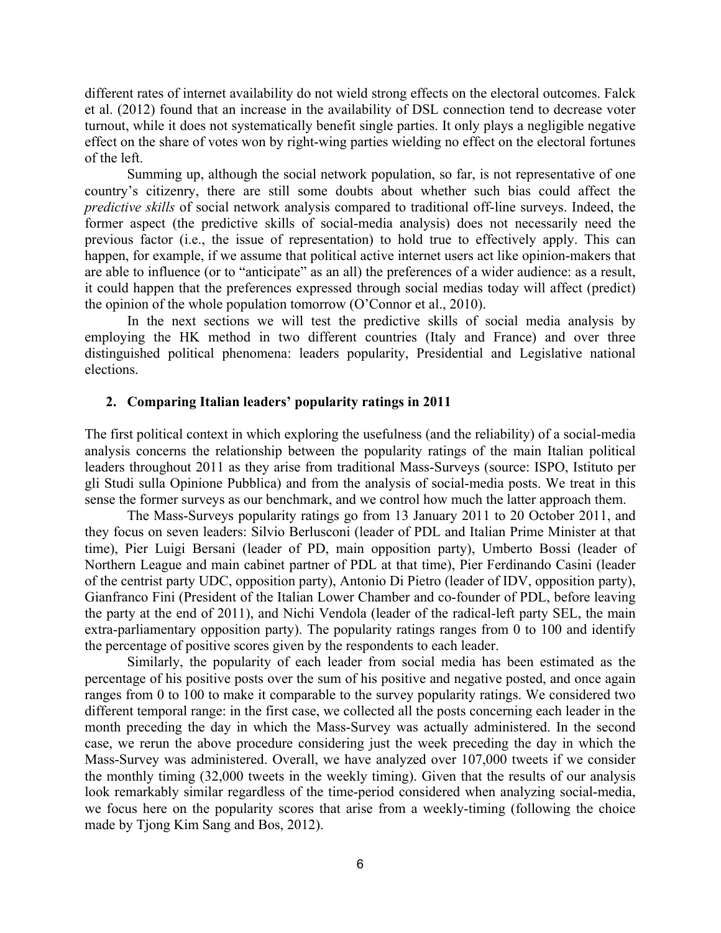different rates of internet availability do not wield strong effects on the electoral outcomes. Falck et al. (2012) found that an increase in the availability of DSL connection tend to decrease voter turnout, while it does not systematically benefit single parties. It only plays a negligible negative effect on the share of votes won by right-wing parties wielding no effect on the electoral fortunes of the left.

Summing up, although the social network population, so far, is not representative of one country's citizenry, there are still some doubts about whether such bias could affect the *predictive skills* of social network analysis compared to traditional off-line surveys. Indeed, the former aspect (the predictive skills of social-media analysis) does not necessarily need the previous factor (i.e., the issue of representation) to hold true to effectively apply. This can happen, for example, if we assume that political active internet users act like opinion-makers that are able to influence (or to "anticipate" as an all) the preferences of a wider audience: as a result, it could happen that the preferences expressed through social medias today will affect (predict) the opinion of the whole population tomorrow (O'Connor et al., 2010).

In the next sections we will test the predictive skills of social media analysis by employing the HK method in two different countries (Italy and France) and over three distinguished political phenomena: leaders popularity, Presidential and Legislative national elections.

## **2. Comparing Italian leaders' popularity ratings in 2011**

The first political context in which exploring the usefulness (and the reliability) of a social-media analysis concerns the relationship between the popularity ratings of the main Italian political leaders throughout 2011 as they arise from traditional Mass-Surveys (source: ISPO, Istituto per gli Studi sulla Opinione Pubblica) and from the analysis of social-media posts. We treat in this sense the former surveys as our benchmark, and we control how much the latter approach them.

The Mass-Surveys popularity ratings go from 13 January 2011 to 20 October 2011, and they focus on seven leaders: Silvio Berlusconi (leader of PDL and Italian Prime Minister at that time), Pier Luigi Bersani (leader of PD, main opposition party), Umberto Bossi (leader of Northern League and main cabinet partner of PDL at that time), Pier Ferdinando Casini (leader of the centrist party UDC, opposition party), Antonio Di Pietro (leader of IDV, opposition party), Gianfranco Fini (President of the Italian Lower Chamber and co-founder of PDL, before leaving the party at the end of 2011), and Nichi Vendola (leader of the radical-left party SEL, the main extra-parliamentary opposition party). The popularity ratings ranges from 0 to 100 and identify the percentage of positive scores given by the respondents to each leader.

Similarly, the popularity of each leader from social media has been estimated as the percentage of his positive posts over the sum of his positive and negative posted, and once again ranges from 0 to 100 to make it comparable to the survey popularity ratings. We considered two different temporal range: in the first case, we collected all the posts concerning each leader in the month preceding the day in which the Mass-Survey was actually administered. In the second case, we rerun the above procedure considering just the week preceding the day in which the Mass-Survey was administered. Overall, we have analyzed over 107,000 tweets if we consider the monthly timing (32,000 tweets in the weekly timing). Given that the results of our analysis look remarkably similar regardless of the time-period considered when analyzing social-media, we focus here on the popularity scores that arise from a weekly-timing (following the choice made by Tjong Kim Sang and Bos, 2012).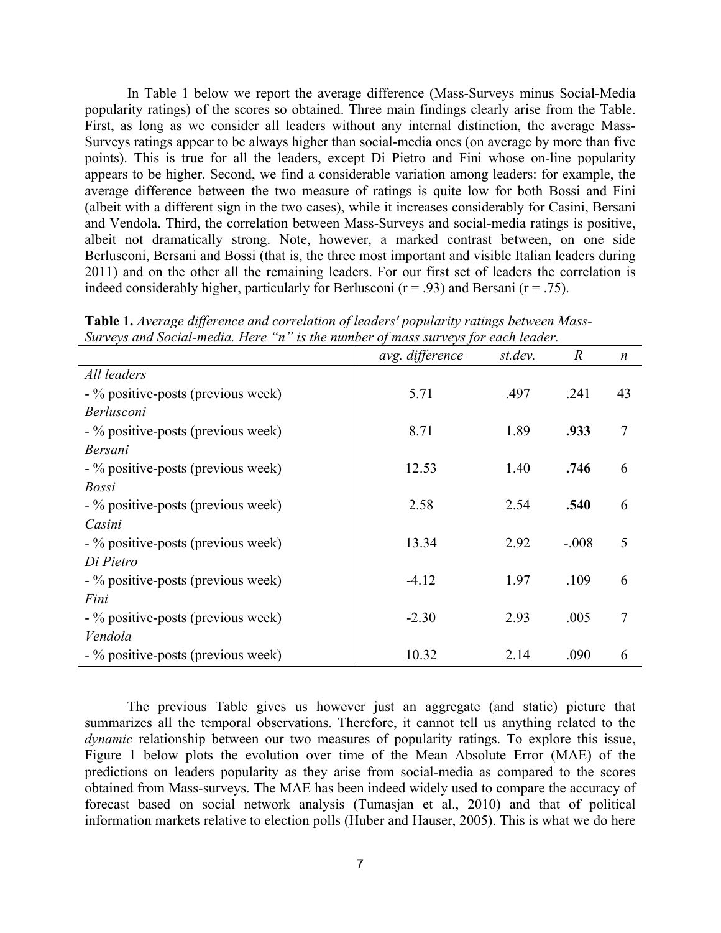In Table 1 below we report the average difference (Mass-Surveys minus Social-Media popularity ratings) of the scores so obtained. Three main findings clearly arise from the Table. First, as long as we consider all leaders without any internal distinction, the average Mass-Surveys ratings appear to be always higher than social-media ones (on average by more than five points). This is true for all the leaders, except Di Pietro and Fini whose on-line popularity appears to be higher. Second, we find a considerable variation among leaders: for example, the average difference between the two measure of ratings is quite low for both Bossi and Fini (albeit with a different sign in the two cases), while it increases considerably for Casini, Bersani and Vendola. Third, the correlation between Mass-Surveys and social-media ratings is positive, albeit not dramatically strong. Note, however, a marked contrast between, on one side Berlusconi, Bersani and Bossi (that is, the three most important and visible Italian leaders during 2011) and on the other all the remaining leaders. For our first set of leaders the correlation is indeed considerably higher, particularly for Berlusconi ( $r = .93$ ) and Bersani ( $r = .75$ ).

| <b>Table 1.</b> Average difference and correlation of leaders' popularity ratings between Mass-<br>Surveys and Social-media. Here "n" is the number of mass surveys for each leader. |                |                      |  |
|--------------------------------------------------------------------------------------------------------------------------------------------------------------------------------------|----------------|----------------------|--|
|                                                                                                                                                                                      | ava difference | $\frac{1}{2}$ of dow |  |

|                                    | avg. difference | st.dev. | $\boldsymbol{R}$ | $\boldsymbol{n}$ |
|------------------------------------|-----------------|---------|------------------|------------------|
| All leaders                        |                 |         |                  |                  |
| - % positive-posts (previous week) | 5.71            | .497    | .241             | 43               |
| Berlusconi                         |                 |         |                  |                  |
| - % positive-posts (previous week) | 8.71            | 1.89    | .933             | $\overline{7}$   |
| Bersani                            |                 |         |                  |                  |
| - % positive-posts (previous week) | 12.53           | 1.40    | .746             | 6                |
| Bossi                              |                 |         |                  |                  |
| - % positive-posts (previous week) | 2.58            | 2.54    | .540             | 6                |
| Casini                             |                 |         |                  |                  |
| - % positive-posts (previous week) | 13.34           | 2.92    | $-.008$          | 5                |
| Di Pietro                          |                 |         |                  |                  |
| - % positive-posts (previous week) | $-4.12$         | 1.97    | .109             | 6                |
| Fini                               |                 |         |                  |                  |
| - % positive-posts (previous week) | $-2.30$         | 2.93    | .005             | 7                |
| Vendola                            |                 |         |                  |                  |
| - % positive-posts (previous week) | 10.32           | 2.14    | .090             | 6                |

The previous Table gives us however just an aggregate (and static) picture that summarizes all the temporal observations. Therefore, it cannot tell us anything related to the *dynamic* relationship between our two measures of popularity ratings. To explore this issue, Figure 1 below plots the evolution over time of the Mean Absolute Error (MAE) of the predictions on leaders popularity as they arise from social-media as compared to the scores obtained from Mass-surveys. The MAE has been indeed widely used to compare the accuracy of forecast based on social network analysis (Tumasjan et al., 2010) and that of political information markets relative to election polls (Huber and Hauser, 2005). This is what we do here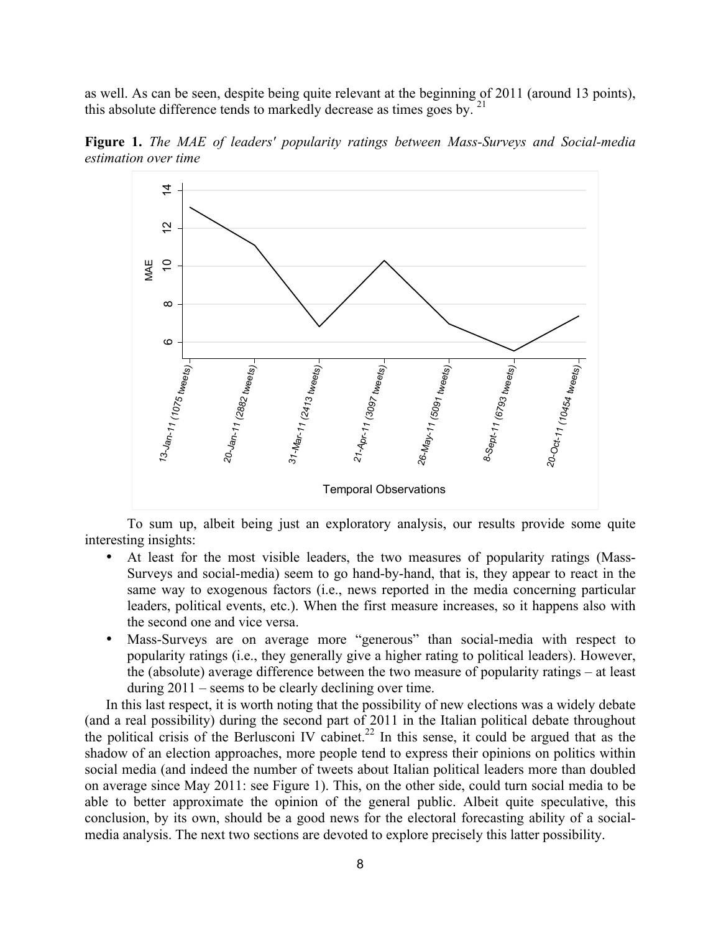as well. As can be seen, despite being quite relevant at the beginning of 2011 (around 13 points), this absolute difference tends to markedly decrease as times goes by.<sup>21</sup>



**Figure 1.** *The MAE of leaders' popularity ratings between Mass-Surveys and Social-media estimation over time* 

To sum up, albeit being just an exploratory analysis, our results provide some quite interesting insights:

- At least for the most visible leaders, the two measures of popularity ratings (Mass-Surveys and social-media) seem to go hand-by-hand, that is, they appear to react in the same way to exogenous factors (i.e., news reported in the media concerning particular leaders, political events, etc.). When the first measure increases, so it happens also with the second one and vice versa.
- Mass-Surveys are on average more "generous" than social-media with respect to popularity ratings (i.e., they generally give a higher rating to political leaders). However, the (absolute) average difference between the two measure of popularity ratings – at least during 2011 – seems to be clearly declining over time.

In this last respect, it is worth noting that the possibility of new elections was a widely debate (and a real possibility) during the second part of 2011 in the Italian political debate throughout the political crisis of the Berlusconi IV cabinet.<sup>22</sup> In this sense, it could be argued that as the shadow of an election approaches, more people tend to express their opinions on politics within social media (and indeed the number of tweets about Italian political leaders more than doubled on average since May 2011: see Figure 1). This, on the other side, could turn social media to be able to better approximate the opinion of the general public. Albeit quite speculative, this conclusion, by its own, should be a good news for the electoral forecasting ability of a socialmedia analysis. The next two sections are devoted to explore precisely this latter possibility.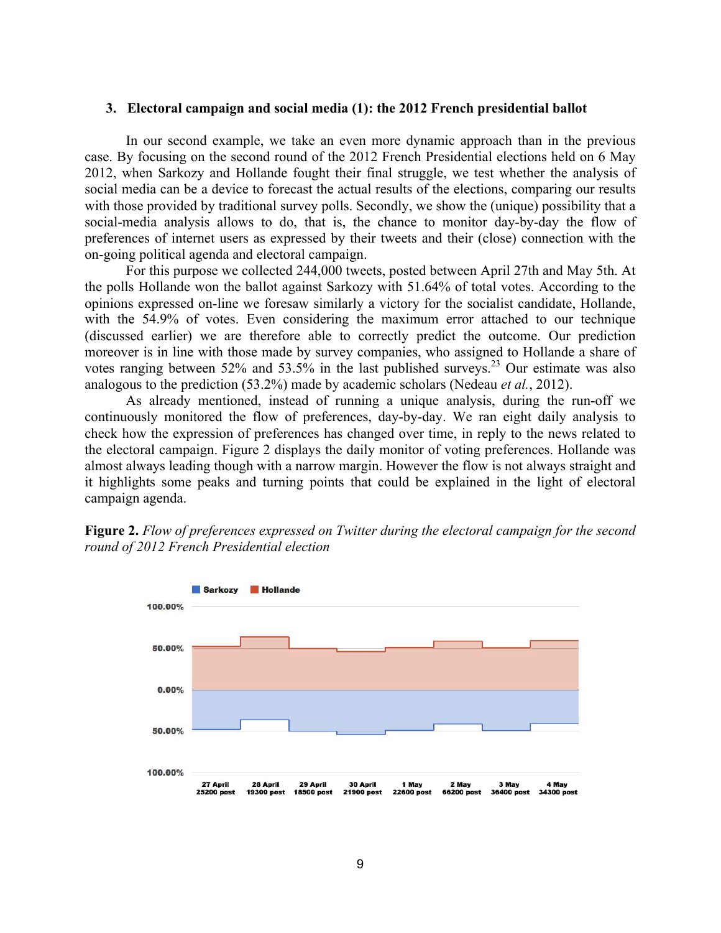#### **3. Electoral campaign and social media (1): the 2012 French presidential ballot**

In our second example, we take an even more dynamic approach than in the previous case. By focusing on the second round of the 2012 French Presidential elections held on 6 May 2012, when Sarkozy and Hollande fought their final struggle, we test whether the analysis of social media can be a device to forecast the actual results of the elections, comparing our results with those provided by traditional survey polls. Secondly, we show the (unique) possibility that a social-media analysis allows to do, that is, the chance to monitor day-by-day the flow of preferences of internet users as expressed by their tweets and their (close) connection with the on-going political agenda and electoral campaign.

For this purpose we collected 244,000 tweets, posted between April 27th and May 5th. At the polls Hollande won the ballot against Sarkozy with 51.64% of total votes. According to the opinions expressed on-line we foresaw similarly a victory for the socialist candidate, Hollande, with the 54.9% of votes. Even considering the maximum error attached to our technique (discussed earlier) we are therefore able to correctly predict the outcome. Our prediction moreover is in line with those made by survey companies, who assigned to Hollande a share of votes ranging between 52% and 53.5% in the last published surveys.<sup>23</sup> Our estimate was also analogous to the prediction (53.2%) made by academic scholars (Nedeau *et al.*, 2012).

As already mentioned, instead of running a unique analysis, during the run-off we continuously monitored the flow of preferences, day-by-day. We ran eight daily analysis to check how the expression of preferences has changed over time, in reply to the news related to the electoral campaign. Figure 2 displays the daily monitor of voting preferences. Hollande was almost always leading though with a narrow margin. However the flow is not always straight and it highlights some peaks and turning points that could be explained in the light of electoral campaign agenda.



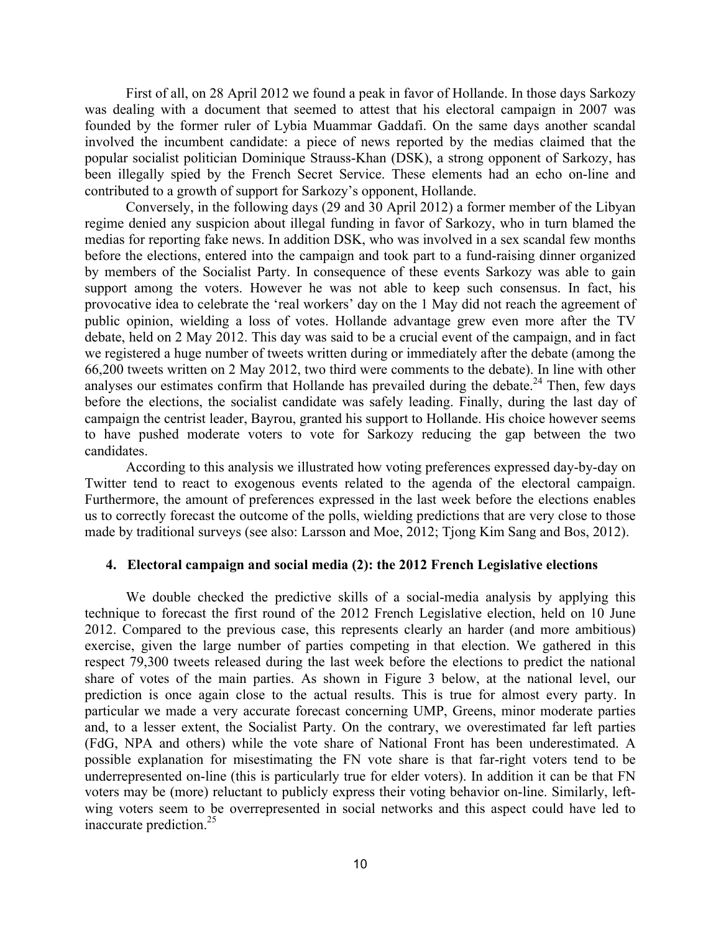First of all, on 28 April 2012 we found a peak in favor of Hollande. In those days Sarkozy was dealing with a document that seemed to attest that his electoral campaign in 2007 was founded by the former ruler of Lybia Muammar Gaddafi. On the same days another scandal involved the incumbent candidate: a piece of news reported by the medias claimed that the popular socialist politician Dominique Strauss-Khan (DSK), a strong opponent of Sarkozy, has been illegally spied by the French Secret Service. These elements had an echo on-line and contributed to a growth of support for Sarkozy's opponent, Hollande.

Conversely, in the following days (29 and 30 April 2012) a former member of the Libyan regime denied any suspicion about illegal funding in favor of Sarkozy, who in turn blamed the medias for reporting fake news. In addition DSK, who was involved in a sex scandal few months before the elections, entered into the campaign and took part to a fund-raising dinner organized by members of the Socialist Party. In consequence of these events Sarkozy was able to gain support among the voters. However he was not able to keep such consensus. In fact, his provocative idea to celebrate the 'real workers' day on the 1 May did not reach the agreement of public opinion, wielding a loss of votes. Hollande advantage grew even more after the TV debate, held on 2 May 2012. This day was said to be a crucial event of the campaign, and in fact we registered a huge number of tweets written during or immediately after the debate (among the 66,200 tweets written on 2 May 2012, two third were comments to the debate). In line with other analyses our estimates confirm that Hollande has prevailed during the debate.<sup>24</sup> Then, few days before the elections, the socialist candidate was safely leading. Finally, during the last day of campaign the centrist leader, Bayrou, granted his support to Hollande. His choice however seems to have pushed moderate voters to vote for Sarkozy reducing the gap between the two candidates.

According to this analysis we illustrated how voting preferences expressed day-by-day on Twitter tend to react to exogenous events related to the agenda of the electoral campaign. Furthermore, the amount of preferences expressed in the last week before the elections enables us to correctly forecast the outcome of the polls, wielding predictions that are very close to those made by traditional surveys (see also: Larsson and Moe, 2012; Tjong Kim Sang and Bos, 2012).

## **4. Electoral campaign and social media (2): the 2012 French Legislative elections**

We double checked the predictive skills of a social-media analysis by applying this technique to forecast the first round of the 2012 French Legislative election, held on 10 June 2012. Compared to the previous case, this represents clearly an harder (and more ambitious) exercise, given the large number of parties competing in that election. We gathered in this respect 79,300 tweets released during the last week before the elections to predict the national share of votes of the main parties. As shown in Figure 3 below, at the national level, our prediction is once again close to the actual results. This is true for almost every party. In particular we made a very accurate forecast concerning UMP, Greens, minor moderate parties and, to a lesser extent, the Socialist Party. On the contrary, we overestimated far left parties (FdG, NPA and others) while the vote share of National Front has been underestimated. A possible explanation for misestimating the FN vote share is that far-right voters tend to be underrepresented on-line (this is particularly true for elder voters). In addition it can be that FN voters may be (more) reluctant to publicly express their voting behavior on-line. Similarly, leftwing voters seem to be overrepresented in social networks and this aspect could have led to inaccurate prediction. $25$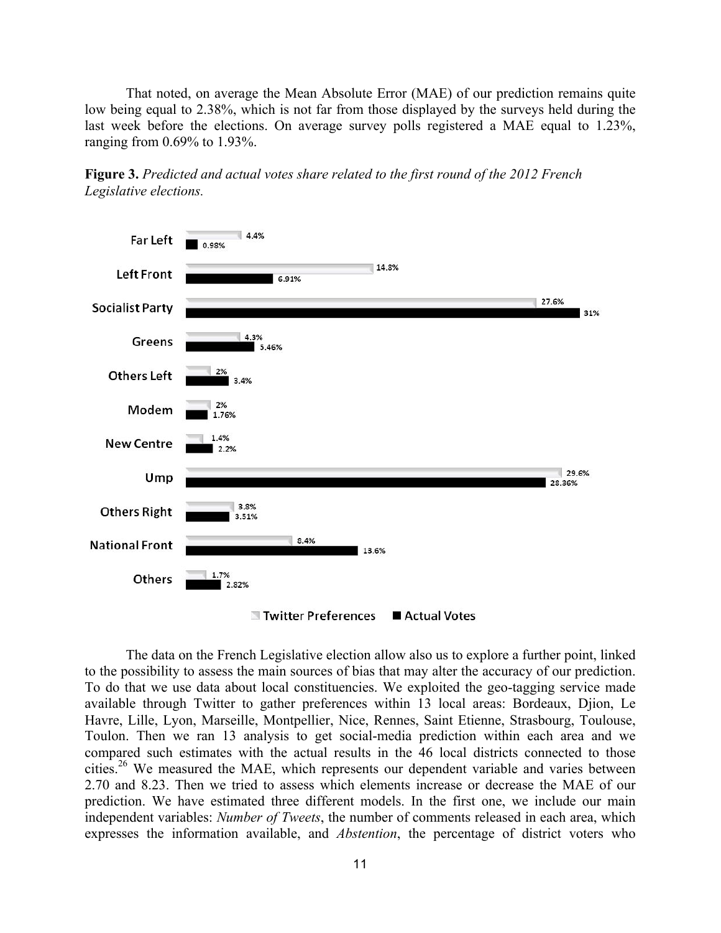That noted, on average the Mean Absolute Error (MAE) of our prediction remains quite low being equal to 2.38%, which is not far from those displayed by the surveys held during the last week before the elections. On average survey polls registered a MAE equal to 1.23%, ranging from 0.69% to 1.93%.





■ Twitter Preferences Actual Votes

The data on the French Legislative election allow also us to explore a further point, linked to the possibility to assess the main sources of bias that may alter the accuracy of our prediction. To do that we use data about local constituencies. We exploited the geo-tagging service made available through Twitter to gather preferences within 13 local areas: Bordeaux, Djion, Le Havre, Lille, Lyon, Marseille, Montpellier, Nice, Rennes, Saint Etienne, Strasbourg, Toulouse, Toulon. Then we ran 13 analysis to get social-media prediction within each area and we compared such estimates with the actual results in the 46 local districts connected to those cities.<sup>26</sup> We measured the MAE, which represents our dependent variable and varies between 2.70 and 8.23. Then we tried to assess which elements increase or decrease the MAE of our prediction. We have estimated three different models. In the first one, we include our main independent variables: *Number of Tweets*, the number of comments released in each area, which expresses the information available, and *Abstention*, the percentage of district voters who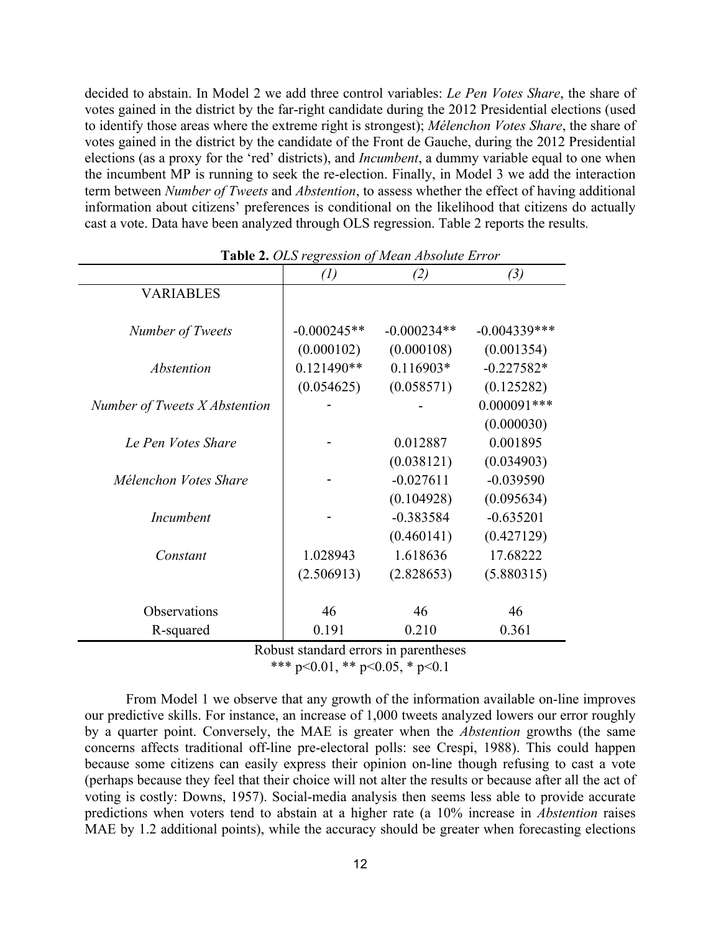decided to abstain. In Model 2 we add three control variables: *Le Pen Votes Share*, the share of votes gained in the district by the far-right candidate during the 2012 Presidential elections (used to identify those areas where the extreme right is strongest); *Mélenchon Votes Share*, the share of votes gained in the district by the candidate of the Front de Gauche, during the 2012 Presidential elections (as a proxy for the 'red' districts), and *Incumbent*, a dummy variable equal to one when the incumbent MP is running to seek the re-election. Finally, in Model 3 we add the interaction term between *Number of Tweets* and *Abstention*, to assess whether the effect of having additional information about citizens' preferences is conditional on the likelihood that citizens do actually cast a vote. Data have been analyzed through OLS regression. Table 2 reports the results.

|                               | (l)           | (2)           | (3)            |
|-------------------------------|---------------|---------------|----------------|
| <b>VARIABLES</b>              |               |               |                |
|                               |               |               |                |
| Number of Tweets              | $-0.000245**$ | $-0.000234**$ | $-0.004339***$ |
|                               | (0.000102)    | (0.000108)    | (0.001354)     |
| <i><b>Abstention</b></i>      | $0.121490**$  | $0.116903*$   | $-0.227582*$   |
|                               | (0.054625)    | (0.058571)    | (0.125282)     |
| Number of Tweets X Abstention |               |               | $0.000091$ *** |
|                               |               |               | (0.000030)     |
| Le Pen Votes Share            |               | 0.012887      | 0.001895       |
|                               |               | (0.038121)    | (0.034903)     |
| Mélenchon Votes Share         |               | $-0.027611$   | $-0.039590$    |
|                               |               | (0.104928)    | (0.095634)     |
| Incumbent                     |               | $-0.383584$   | $-0.635201$    |
|                               |               | (0.460141)    | (0.427129)     |
| Constant                      | 1.028943      | 1.618636      | 17.68222       |
|                               | (2.506913)    | (2.828653)    | (5.880315)     |
|                               |               |               |                |
| Observations                  | 46            | 46            | 46             |
| R-squared                     | 0.191         | 0.210         | 0.361          |

**Table 2.** *OLS regression of Mean Absolute Error*

Robust standard errors in parentheses \*\*\* p<0.01, \*\* p<0.05, \* p<0.1

From Model 1 we observe that any growth of the information available on-line improves our predictive skills. For instance, an increase of 1,000 tweets analyzed lowers our error roughly by a quarter point. Conversely, the MAE is greater when the *Abstention* growths (the same concerns affects traditional off-line pre-electoral polls: see Crespi, 1988). This could happen because some citizens can easily express their opinion on-line though refusing to cast a vote (perhaps because they feel that their choice will not alter the results or because after all the act of voting is costly: Downs, 1957). Social-media analysis then seems less able to provide accurate predictions when voters tend to abstain at a higher rate (a 10% increase in *Abstention* raises MAE by 1.2 additional points), while the accuracy should be greater when forecasting elections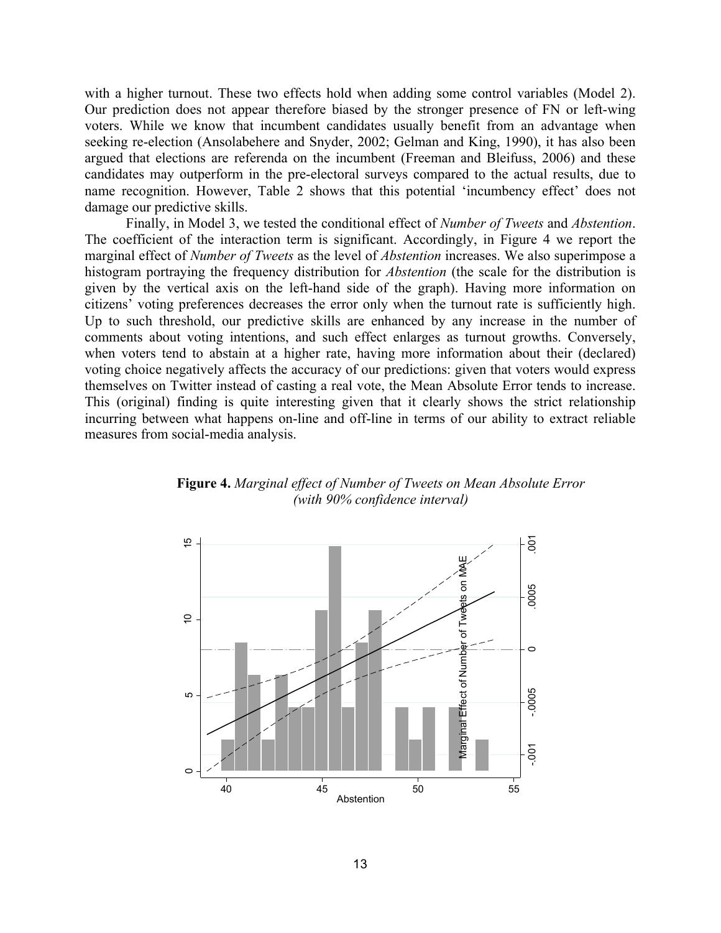with a higher turnout. These two effects hold when adding some control variables (Model 2). Our prediction does not appear therefore biased by the stronger presence of FN or left-wing voters. While we know that incumbent candidates usually benefit from an advantage when seeking re-election (Ansolabehere and Snyder, 2002; Gelman and King, 1990), it has also been argued that elections are referenda on the incumbent (Freeman and Bleifuss, 2006) and these candidates may outperform in the pre-electoral surveys compared to the actual results, due to name recognition. However, Table 2 shows that this potential 'incumbency effect' does not damage our predictive skills.

Finally, in Model 3, we tested the conditional effect of *Number of Tweets* and *Abstention*. The coefficient of the interaction term is significant. Accordingly, in Figure 4 we report the marginal effect of *Number of Tweets* as the level of *Abstention* increases. We also superimpose a histogram portraying the frequency distribution for *Abstention* (the scale for the distribution is given by the vertical axis on the left-hand side of the graph). Having more information on citizens' voting preferences decreases the error only when the turnout rate is sufficiently high. Up to such threshold, our predictive skills are enhanced by any increase in the number of comments about voting intentions, and such effect enlarges as turnout growths. Conversely, when voters tend to abstain at a higher rate, having more information about their (declared) voting choice negatively affects the accuracy of our predictions: given that voters would express themselves on Twitter instead of casting a real vote, the Mean Absolute Error tends to increase. This (original) finding is quite interesting given that it clearly shows the strict relationship incurring between what happens on-line and off-line in terms of our ability to extract reliable measures from social-media analysis.



**Figure 4.** *Marginal effect of Number of Tweets on Mean Absolute Error (with 90% confidence interval)*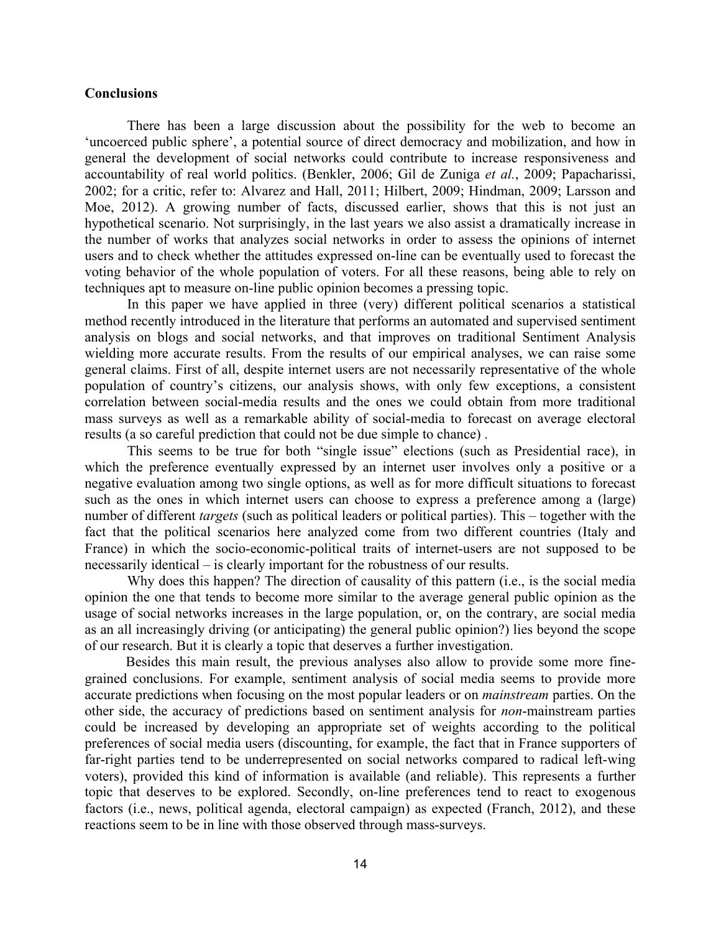## **Conclusions**

There has been a large discussion about the possibility for the web to become an 'uncoerced public sphere', a potential source of direct democracy and mobilization, and how in general the development of social networks could contribute to increase responsiveness and accountability of real world politics. (Benkler, 2006; Gil de Zuniga *et al.*, 2009; Papacharissi, 2002; for a critic, refer to: Alvarez and Hall, 2011; Hilbert, 2009; Hindman, 2009; Larsson and Moe, 2012). A growing number of facts, discussed earlier, shows that this is not just an hypothetical scenario. Not surprisingly, in the last years we also assist a dramatically increase in the number of works that analyzes social networks in order to assess the opinions of internet users and to check whether the attitudes expressed on-line can be eventually used to forecast the voting behavior of the whole population of voters. For all these reasons, being able to rely on techniques apt to measure on-line public opinion becomes a pressing topic.

In this paper we have applied in three (very) different political scenarios a statistical method recently introduced in the literature that performs an automated and supervised sentiment analysis on blogs and social networks, and that improves on traditional Sentiment Analysis wielding more accurate results. From the results of our empirical analyses, we can raise some general claims. First of all, despite internet users are not necessarily representative of the whole population of country's citizens, our analysis shows, with only few exceptions, a consistent correlation between social-media results and the ones we could obtain from more traditional mass surveys as well as a remarkable ability of social-media to forecast on average electoral results (a so careful prediction that could not be due simple to chance) .

This seems to be true for both "single issue" elections (such as Presidential race), in which the preference eventually expressed by an internet user involves only a positive or a negative evaluation among two single options, as well as for more difficult situations to forecast such as the ones in which internet users can choose to express a preference among a (large) number of different *targets* (such as political leaders or political parties). This – together with the fact that the political scenarios here analyzed come from two different countries (Italy and France) in which the socio-economic-political traits of internet-users are not supposed to be necessarily identical – is clearly important for the robustness of our results.

Why does this happen? The direction of causality of this pattern (i.e., is the social media opinion the one that tends to become more similar to the average general public opinion as the usage of social networks increases in the large population, or, on the contrary, are social media as an all increasingly driving (or anticipating) the general public opinion?) lies beyond the scope of our research. But it is clearly a topic that deserves a further investigation.

Besides this main result, the previous analyses also allow to provide some more finegrained conclusions. For example, sentiment analysis of social media seems to provide more accurate predictions when focusing on the most popular leaders or on *mainstream* parties. On the other side, the accuracy of predictions based on sentiment analysis for *non*-mainstream parties could be increased by developing an appropriate set of weights according to the political preferences of social media users (discounting, for example, the fact that in France supporters of far-right parties tend to be underrepresented on social networks compared to radical left-wing voters), provided this kind of information is available (and reliable). This represents a further topic that deserves to be explored. Secondly, on-line preferences tend to react to exogenous factors (i.e., news, political agenda, electoral campaign) as expected (Franch, 2012), and these reactions seem to be in line with those observed through mass-surveys.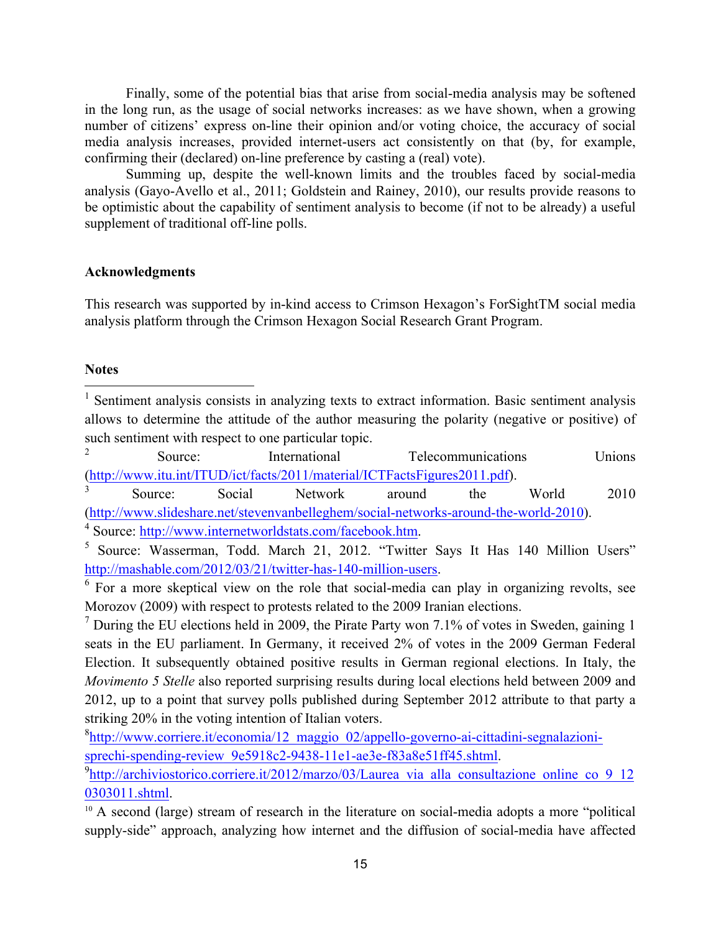Finally, some of the potential bias that arise from social-media analysis may be softened in the long run, as the usage of social networks increases: as we have shown, when a growing number of citizens' express on-line their opinion and/or voting choice, the accuracy of social media analysis increases, provided internet-users act consistently on that (by, for example, confirming their (declared) on-line preference by casting a (real) vote).

Summing up, despite the well-known limits and the troubles faced by social-media analysis (Gayo-Avello et al., 2011; Goldstein and Rainey, 2010), our results provide reasons to be optimistic about the capability of sentiment analysis to become (if not to be already) a useful supplement of traditional off-line polls.

## **Acknowledgments**

This research was supported by in-kind access to Crimson Hexagon's ForSightTM social media analysis platform through the Crimson Hexagon Social Research Grant Program.

## **Notes**

<sup>1</sup> Sentiment analysis consists in analyzing texts to extract information. Basic sentiment analysis allows to determine the attitude of the author measuring the polarity (negative or positive) of such sentiment with respect to one particular topic.

<sup>2</sup> Source: International Telecommunications Unions (http://www.itu.int/ITUD/ict/facts/2011/material/ICTFactsFigures2011.pdf).

<sup>3</sup> Source: Social Network around the World 2010 (http://www.slideshare.net/stevenvanbelleghem/social-networks-around-the-world-2010). <sup>4</sup> Source: http://www.internetworldstats.com/facebook.htm.

<sup>5</sup> Source: Wasserman, Todd. March 21, 2012. "Twitter Says It Has 140 Million Users"

http://mashable.com/2012/03/21/twitter-has-140-million-users.

 $6\degree$  For a more skeptical view on the role that social-media can play in organizing revolts, see Morozov (2009) with respect to protests related to the 2009 Iranian elections.

 $<sup>7</sup>$  During the EU elections held in 2009, the Pirate Party won 7.1% of votes in Sweden, gaining 1</sup> seats in the EU parliament. In Germany, it received 2% of votes in the 2009 German Federal Election. It subsequently obtained positive results in German regional elections. In Italy, the *Movimento 5 Stelle* also reported surprising results during local elections held between 2009 and 2012, up to a point that survey polls published during September 2012 attribute to that party a striking 20% in the voting intention of Italian voters.

http://www.corriere.it/economia/12\_maggio\_02/appello-governo-ai-cittadini-segnalazionisprechi-spending-review\_9e5918c2-9438-11e1-ae3e-f83a8e51ff45.shtml.

<sup>9</sup>http://archiviostorico.corriere.it/2012/marzo/03/Laurea\_via\_alla\_consultazione\_online\_co\_9\_12 0303011.shtml.

<sup>10</sup> A second (large) stream of research in the literature on social-media adopts a more "political supply-side" approach, analyzing how internet and the diffusion of social-media have affected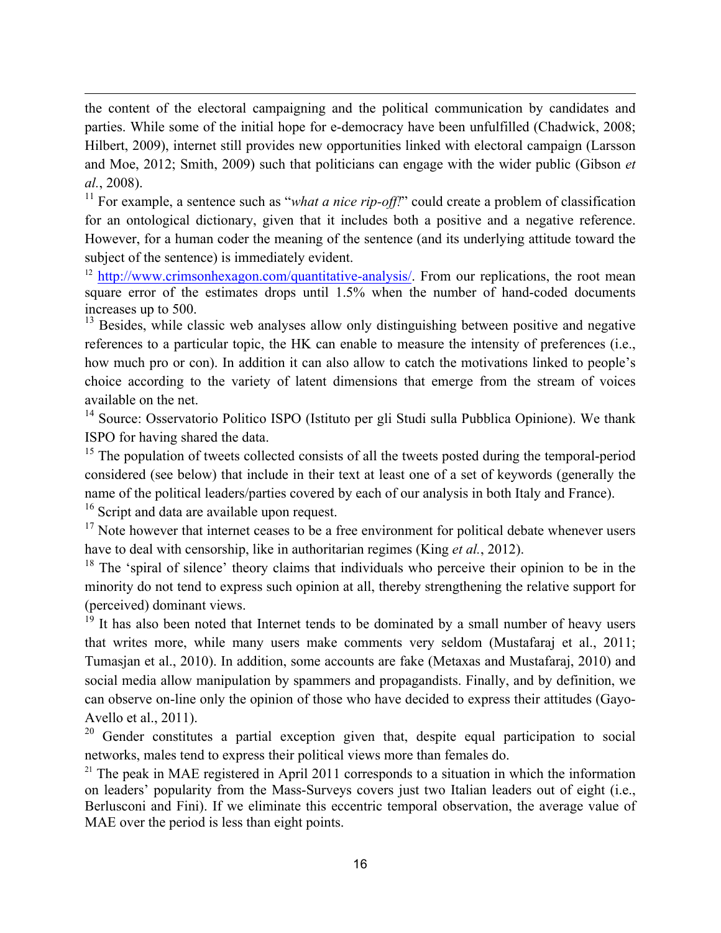the content of the electoral campaigning and the political communication by candidates and parties. While some of the initial hope for e-democracy have been unfulfilled (Chadwick, 2008; Hilbert, 2009), internet still provides new opportunities linked with electoral campaign (Larsson and Moe, 2012; Smith, 2009) such that politicians can engage with the wider public (Gibson *et al.*, 2008).

<sup>11</sup> For example, a sentence such as "*what a nice rip-off!*" could create a problem of classification for an ontological dictionary, given that it includes both a positive and a negative reference. However, for a human coder the meaning of the sentence (and its underlying attitude toward the subject of the sentence) is immediately evident.

 $12$  http://www.crimsonhexagon.com/quantitative-analysis/. From our replications, the root mean square error of the estimates drops until 1.5% when the number of hand-coded documents increases up to 500.

 $13$  Besides, while classic web analyses allow only distinguishing between positive and negative references to a particular topic, the HK can enable to measure the intensity of preferences (i.e., how much pro or con). In addition it can also allow to catch the motivations linked to people's choice according to the variety of latent dimensions that emerge from the stream of voices available on the net.

<sup>14</sup> Source: Osservatorio Politico ISPO (Istituto per gli Studi sulla Pubblica Opinione). We thank ISPO for having shared the data.

<sup>15</sup> The population of tweets collected consists of all the tweets posted during the temporal-period considered (see below) that include in their text at least one of a set of keywords (generally the name of the political leaders/parties covered by each of our analysis in both Italy and France).

<sup>16</sup> Script and data are available upon request.

 $17$  Note however that internet ceases to be a free environment for political debate whenever users have to deal with censorship, like in authoritarian regimes (King *et al.*, 2012).

<sup>18</sup> The 'spiral of silence' theory claims that individuals who perceive their opinion to be in the minority do not tend to express such opinion at all, thereby strengthening the relative support for (perceived) dominant views.

 $19$  It has also been noted that Internet tends to be dominated by a small number of heavy users that writes more, while many users make comments very seldom (Mustafaraj et al., 2011; Tumasjan et al., 2010). In addition, some accounts are fake (Metaxas and Mustafaraj, 2010) and social media allow manipulation by spammers and propagandists. Finally, and by definition, we can observe on-line only the opinion of those who have decided to express their attitudes (Gayo-Avello et al., 2011).

<sup>20</sup> Gender constitutes a partial exception given that, despite equal participation to social networks, males tend to express their political views more than females do.

 $21$  The peak in MAE registered in April 2011 corresponds to a situation in which the information on leaders' popularity from the Mass-Surveys covers just two Italian leaders out of eight (i.e., Berlusconi and Fini). If we eliminate this eccentric temporal observation, the average value of MAE over the period is less than eight points.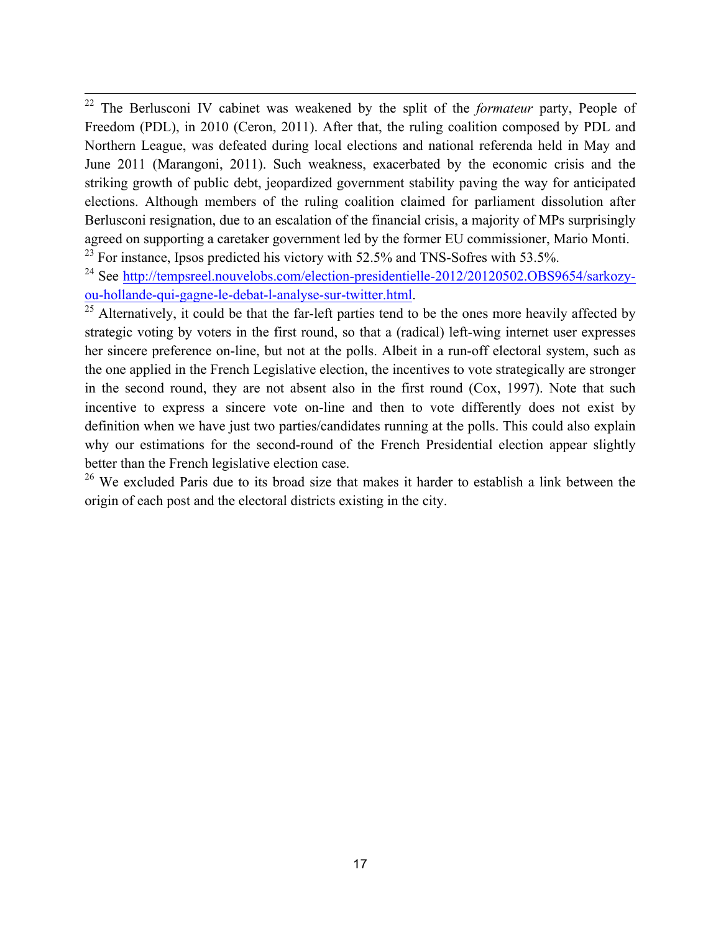<sup>22</sup> The Berlusconi IV cabinet was weakened by the split of the *formateur* party, People of Freedom (PDL), in 2010 (Ceron, 2011). After that, the ruling coalition composed by PDL and Northern League, was defeated during local elections and national referenda held in May and June 2011 (Marangoni, 2011). Such weakness, exacerbated by the economic crisis and the striking growth of public debt, jeopardized government stability paving the way for anticipated elections. Although members of the ruling coalition claimed for parliament dissolution after Berlusconi resignation, due to an escalation of the financial crisis, a majority of MPs surprisingly agreed on supporting a caretaker government led by the former EU commissioner, Mario Monti.  $^{23}$  For instance, Ipsos predicted his victory with 52.5% and TNS-Sofres with 53.5%.

<sup>24</sup> See http://tempsreel.nouvelobs.com/election-presidentielle-2012/20120502.OBS9654/sarkozyou-hollande-qui-gagne-le-debat-l-analyse-sur-twitter.html.

 $25$  Alternatively, it could be that the far-left parties tend to be the ones more heavily affected by strategic voting by voters in the first round, so that a (radical) left-wing internet user expresses her sincere preference on-line, but not at the polls. Albeit in a run-off electoral system, such as the one applied in the French Legislative election, the incentives to vote strategically are stronger in the second round, they are not absent also in the first round (Cox, 1997). Note that such incentive to express a sincere vote on-line and then to vote differently does not exist by definition when we have just two parties/candidates running at the polls. This could also explain why our estimations for the second-round of the French Presidential election appear slightly better than the French legislative election case.

 $26$  We excluded Paris due to its broad size that makes it harder to establish a link between the origin of each post and the electoral districts existing in the city.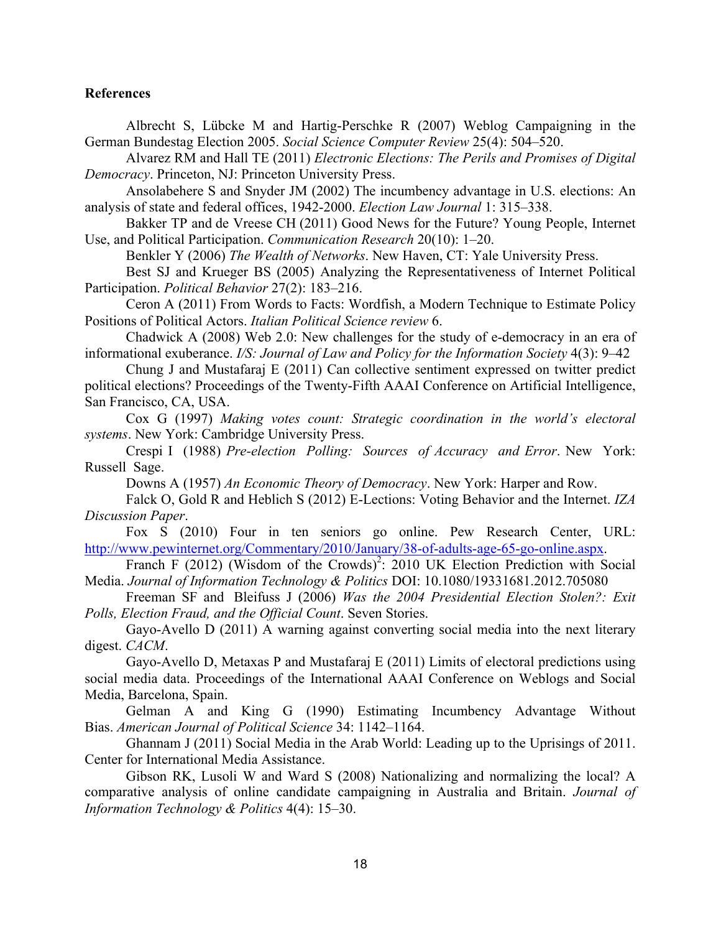## **References**

Albrecht S, Lübcke M and Hartig-Perschke R (2007) Weblog Campaigning in the German Bundestag Election 2005. *Social Science Computer Review* 25(4): 504–520.

Alvarez RM and Hall TE (2011) *Electronic Elections: The Perils and Promises of Digital Democracy*. Princeton, NJ: Princeton University Press.

Ansolabehere S and Snyder JM (2002) The incumbency advantage in U.S. elections: An analysis of state and federal offices, 1942-2000. *Election Law Journal* 1: 315–338.

Bakker TP and de Vreese CH (2011) Good News for the Future? Young People, Internet Use, and Political Participation. *Communication Research* 20(10): 1–20.

Benkler Y (2006) *The Wealth of Networks*. New Haven, CT: Yale University Press.

Best SJ and Krueger BS (2005) Analyzing the Representativeness of Internet Political Participation. *Political Behavior* 27(2): 183–216.

Ceron A (2011) From Words to Facts: Wordfish, a Modern Technique to Estimate Policy Positions of Political Actors. *Italian Political Science review* 6.

Chadwick A (2008) Web 2.0: New challenges for the study of e-democracy in an era of informational exuberance. *I/S: Journal of Law and Policy for the Information Society* 4(3): 9–42

Chung J and Mustafaraj E (2011) Can collective sentiment expressed on twitter predict political elections? Proceedings of the Twenty-Fifth AAAI Conference on Artificial Intelligence, San Francisco, CA, USA.

Cox G (1997) *Making votes count: Strategic coordination in the world's electoral systems*. New York: Cambridge University Press.

Crespi I (1988) *Pre-election Polling: Sources of Accuracy and Error*. New York: Russell Sage.

Downs A (1957) *An Economic Theory of Democracy*. New York: Harper and Row.

Falck O, Gold R and Heblich S (2012) E-Lections: Voting Behavior and the Internet. *IZA Discussion Paper*.

Fox S (2010) Four in ten seniors go online. Pew Research Center, URL: http://www.pewinternet.org/Commentary/2010/January/38-of-adults-age-65-go-online.aspx.

Franch F (2012) (Wisdom of the Crowds)<sup>2</sup>: 2010 UK Election Prediction with Social Media. *Journal of Information Technology & Politics* DOI: 10.1080/19331681.2012.705080

Freeman SF and Bleifuss J (2006) *Was the 2004 Presidential Election Stolen?: Exit Polls, Election Fraud, and the Official Count*. Seven Stories.

Gayo-Avello D (2011) A warning against converting social media into the next literary digest. *CACM*.

Gayo-Avello D, Metaxas P and Mustafaraj E (2011) Limits of electoral predictions using social media data. Proceedings of the International AAAI Conference on Weblogs and Social Media, Barcelona, Spain.

Gelman A and King G (1990) Estimating Incumbency Advantage Without Bias. *American Journal of Political Science* 34: 1142–1164.

Ghannam J (2011) Social Media in the Arab World: Leading up to the Uprisings of 2011. Center for International Media Assistance.

Gibson RK, Lusoli W and Ward S (2008) Nationalizing and normalizing the local? A comparative analysis of online candidate campaigning in Australia and Britain. *Journal of Information Technology & Politics* 4(4): 15–30.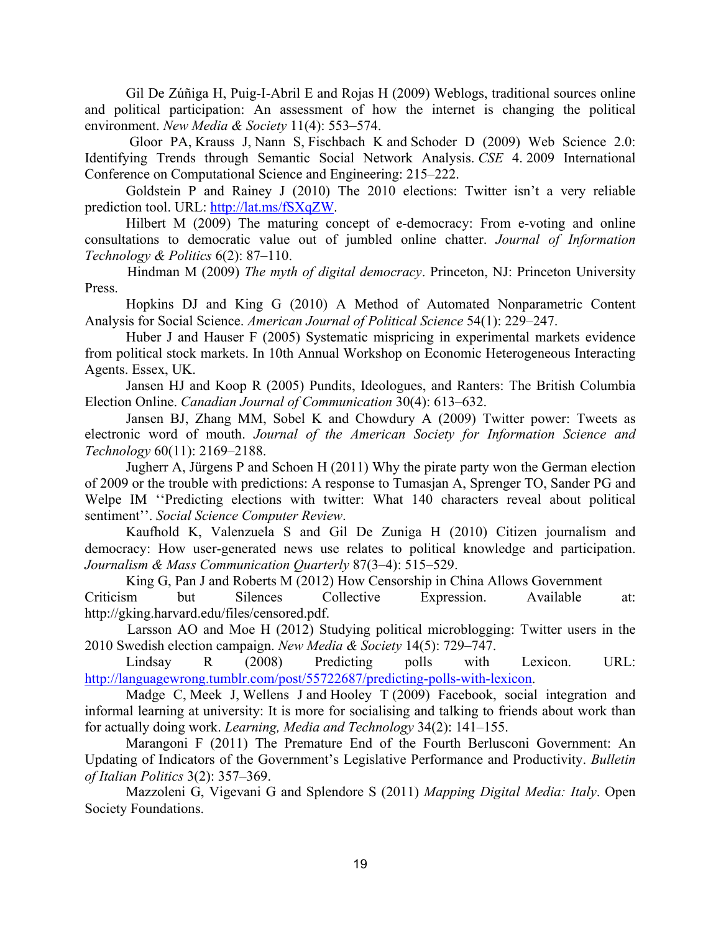Gil De Zúñiga H, Puig-I-Abril E and Rojas H (2009) Weblogs, traditional sources online and political participation: An assessment of how the internet is changing the political environment. *New Media & Society* 11(4): 553–574.

Gloor PA, Krauss J, Nann S, Fischbach K and Schoder D (2009) Web Science 2.0: Identifying Trends through Semantic Social Network Analysis. *CSE* 4. 2009 International Conference on Computational Science and Engineering: 215–222.

Goldstein P and Rainey J (2010) The 2010 elections: Twitter isn't a very reliable prediction tool. URL: http://lat.ms/fSXqZW.

Hilbert M (2009) The maturing concept of e-democracy: From e-voting and online consultations to democratic value out of jumbled online chatter. *Journal of Information Technology & Politics* 6(2): 87–110.

Hindman M (2009) *The myth of digital democracy*. Princeton, NJ: Princeton University Press.

Hopkins DJ and King G (2010) A Method of Automated Nonparametric Content Analysis for Social Science. *American Journal of Political Science* 54(1): 229–247.

Huber J and Hauser F (2005) Systematic mispricing in experimental markets evidence from political stock markets. In 10th Annual Workshop on Economic Heterogeneous Interacting Agents. Essex, UK.

Jansen HJ and Koop R (2005) Pundits, Ideologues, and Ranters: The British Columbia Election Online. *Canadian Journal of Communication* 30(4): 613–632.

Jansen BJ, Zhang MM, Sobel K and Chowdury A (2009) Twitter power: Tweets as electronic word of mouth. *Journal of the American Society for Information Science and Technology* 60(11): 2169–2188.

Jugherr A, Jürgens P and Schoen H (2011) Why the pirate party won the German election of 2009 or the trouble with predictions: A response to Tumasjan A, Sprenger TO, Sander PG and Welpe IM ''Predicting elections with twitter: What 140 characters reveal about political sentiment''. *Social Science Computer Review*.

Kaufhold K, Valenzuela S and Gil De Zuniga H (2010) Citizen journalism and democracy: How user-generated news use relates to political knowledge and participation. *Journalism & Mass Communication Quarterly* 87(3–4): 515–529.

King G, Pan J and Roberts M (2012) How Censorship in China Allows Government

Criticism but Silences Collective Expression. Available at: http://gking.harvard.edu/files/censored.pdf.

Larsson AO and Moe H (2012) Studying political microblogging: Twitter users in the 2010 Swedish election campaign. *New Media & Society* 14(5): 729–747.

Lindsay R (2008) Predicting polls with Lexicon. URL: http://languagewrong.tumblr.com/post/55722687/predicting-polls-with-lexicon.

Madge C, Meek J, Wellens J and Hooley T (2009) Facebook, social integration and informal learning at university: It is more for socialising and talking to friends about work than for actually doing work. *Learning, Media and Technology* 34(2): 141–155.

Marangoni F (2011) The Premature End of the Fourth Berlusconi Government: An Updating of Indicators of the Government's Legislative Performance and Productivity. *Bulletin of Italian Politics* 3(2): 357–369.

Mazzoleni G, Vigevani G and Splendore S (2011) *Mapping Digital Media: Italy*. Open Society Foundations.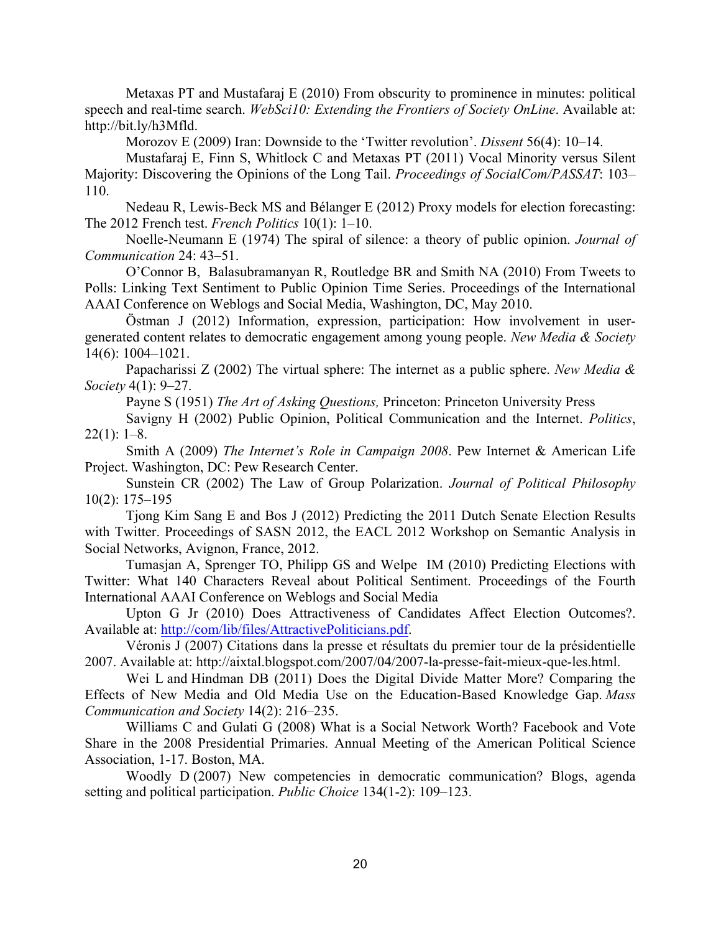Metaxas PT and Mustafaraj E (2010) From obscurity to prominence in minutes: political speech and real-time search. *WebSci10: Extending the Frontiers of Society OnLine*. Available at: http://bit.ly/h3Mfld.

Morozov E (2009) Iran: Downside to the 'Twitter revolution'. *Dissent* 56(4): 10–14.

Mustafaraj E, Finn S, Whitlock C and Metaxas PT (2011) Vocal Minority versus Silent Majority: Discovering the Opinions of the Long Tail. *Proceedings of SocialCom/PASSAT*: 103– 110.

Nedeau R, Lewis-Beck MS and Bélanger E (2012) Proxy models for election forecasting: The 2012 French test. *French Politics* 10(1): 1–10.

Noelle-Neumann E (1974) The spiral of silence: a theory of public opinion. *Journal of Communication* 24: 43–51.

O'Connor B, Balasubramanyan R, Routledge BR and Smith NA (2010) From Tweets to Polls: Linking Text Sentiment to Public Opinion Time Series. Proceedings of the International AAAI Conference on Weblogs and Social Media, Washington, DC, May 2010.

Östman J (2012) Information, expression, participation: How involvement in usergenerated content relates to democratic engagement among young people. *New Media & Society* 14(6): 1004–1021.

Papacharissi Z (2002) The virtual sphere: The internet as a public sphere. *New Media & Society* 4(1): 9–27.

Payne S (1951) *The Art of Asking Questions,* Princeton: Princeton University Press

Savigny H (2002) Public Opinion, Political Communication and the Internet. *Politics*,  $22(1): 1-8.$ 

Smith A (2009) *The Internet's Role in Campaign 2008*. Pew Internet & American Life Project. Washington, DC: Pew Research Center.

Sunstein CR (2002) The Law of Group Polarization. *Journal of Political Philosophy* 10(2): 175–195

Tjong Kim Sang E and Bos J (2012) Predicting the 2011 Dutch Senate Election Results with Twitter. Proceedings of SASN 2012, the EACL 2012 Workshop on Semantic Analysis in Social Networks, Avignon, France, 2012.

Tumasjan A, Sprenger TO, Philipp GS and Welpe IM (2010) Predicting Elections with Twitter: What 140 Characters Reveal about Political Sentiment. Proceedings of the Fourth International AAAI Conference on Weblogs and Social Media

Upton G Jr (2010) Does Attractiveness of Candidates Affect Election Outcomes?. Available at: http://com/lib/files/AttractivePoliticians.pdf.

Véronis J (2007) Citations dans la presse et résultats du premier tour de la présidentielle 2007. Available at: http://aixtal.blogspot.com/2007/04/2007-la-presse-fait-mieux-que-les.html.

Wei L and Hindman DB (2011) Does the Digital Divide Matter More? Comparing the Effects of New Media and Old Media Use on the Education-Based Knowledge Gap. *Mass Communication and Society* 14(2): 216–235.

Williams C and Gulati G (2008) What is a Social Network Worth? Facebook and Vote Share in the 2008 Presidential Primaries. Annual Meeting of the American Political Science Association, 1-17. Boston, MA.

Woodly D (2007) New competencies in democratic communication? Blogs, agenda setting and political participation. *Public Choice* 134(1-2): 109–123.